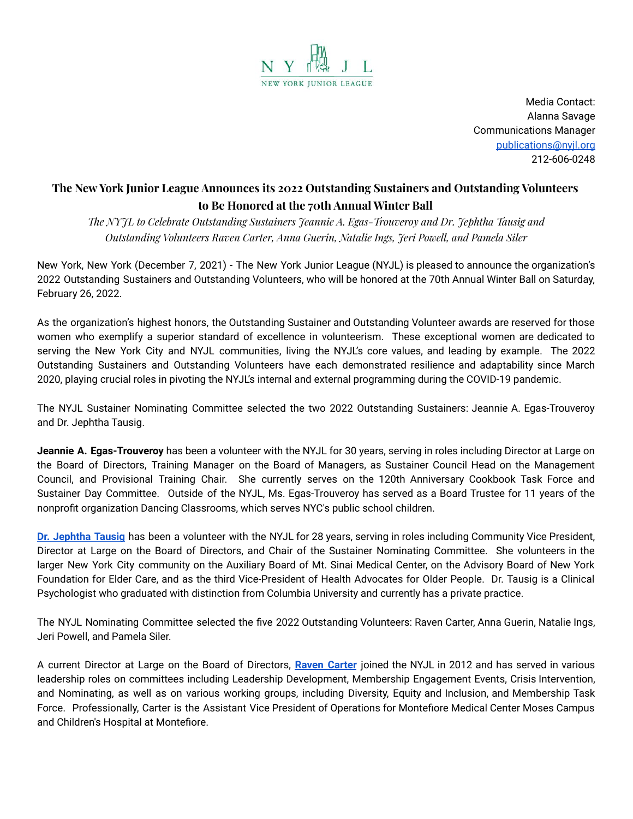

Media Contact: Alanna Savage Communications Manager [publications@nyjl.org](mailto:publications@nyjl.org) 212-606-0248

## **The New York Junior League Announces its 2022 Outstanding Sustainers and Outstanding Volunteers to Be Honored at the 70th Annual Winter Ball**

*The NYJL to Celebrate Outstanding Sustainers Jeannie A. Egas-Trouveroy and Dr. Jephtha Tausig and Outstanding Volunteers Raven Carter, Anna Guerin, Natalie Ings, Jeri Powell, and Pamela Siler*

New York, New York (December 7, 2021) - The New York Junior League (NYJL) is pleased to announce the organization's 2022 Outstanding Sustainers and Outstanding Volunteers, who will be honored at the 70th Annual Winter Ball on Saturday, February 26, 2022.

As the organization's highest honors, the Outstanding Sustainer and Outstanding Volunteer awards are reserved for those women who exemplify a superior standard of excellence in volunteerism. These exceptional women are dedicated to serving the New York City and NYJL communities, living the NYJL's core values, and leading by example. The 2022 Outstanding Sustainers and Outstanding Volunteers have each demonstrated resilience and adaptability since March 2020, playing crucial roles in pivoting the NYJL's internal and external programming during the COVID-19 pandemic.

The NYJL Sustainer Nominating Committee selected the two 2022 Outstanding Sustainers: Jeannie A. Egas-Trouveroy and Dr. Jephtha Tausig.

**Jeannie A. Egas-Trouveroy** has been a volunteer with the NYJL for 30 years, serving in roles including Director at Large on the Board of Directors, Training Manager on the Board of Managers, as Sustainer Council Head on the Management Council, and Provisional Training Chair. She currently serves on the 120th Anniversary Cookbook Task Force and Sustainer Day Committee. Outside of the NYJL, Ms. Egas-Trouveroy has served as a Board Trustee for 11 years of the nonprofit organization Dancing Classrooms, which serves NYC's public school children.

**Dr. [Jephtha](https://drjeph.com/) Tausig** has been a volunteer with the NYJL for 28 years, serving in roles including Community Vice President, Director at Large on the Board of Directors, and Chair of the Sustainer Nominating Committee. She volunteers in the larger New York City community on the Auxiliary Board of Mt. Sinai Medical Center, on the Advisory Board of New York Foundation for Elder Care, and as the third Vice-President of Health Advocates for Older People. Dr. Tausig is a Clinical Psychologist who graduated with distinction from Columbia University and currently has a private practice.

The NYJL Nominating Committee selected the five 2022 Outstanding Volunteers: Raven Carter, Anna Guerin, Natalie Ings, Jeri Powell, and Pamela Siler.

A current Director at Large on the Board of Directors, **Raven [Carter](https://www.nyjl.org/life-through-another-lens-raven-carter/)** joined the NYJL in 2012 and has served in various leadership roles on committees including Leadership Development, Membership Engagement Events, Crisis Intervention, and Nominating, as well as on various working groups, including Diversity, Equity and Inclusion, and Membership Task Force. Professionally, Carter is the Assistant Vice President of Operations for Montefiore Medical Center Moses Campus and Children's Hospital at Montefiore.